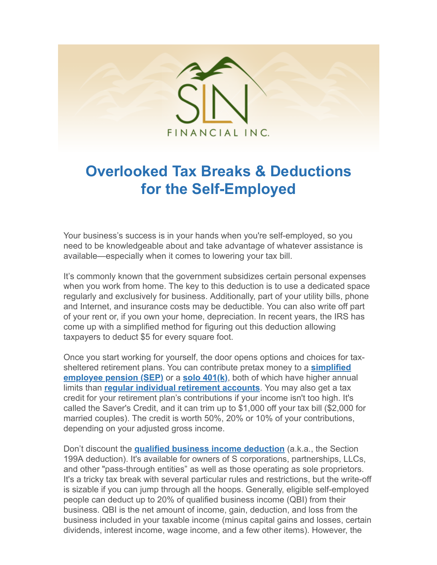

## **Overlooked Tax Breaks & Deductions for the Self-Employed**

Your business's success is in your hands when you're self-employed, so you need to be knowledgeable about and take advantage of whatever assistance is available—especially when it comes to lowering your tax bill.

It's commonly known that the government subsidizes certain personal expenses when you work from home. The key to this deduction is to use a dedicated space regularly and exclusively for business. Additionally, part of your utility bills, phone and Internet, and insurance costs may be deductible. You can also write off part of your rent or, if you own your home, depreciation. In recent years, the IRS has come up with a simplified method for figuring out this deduction allowing taxpayers to deduct \$5 for every square foot.

Once you start working for yourself, the door opens options and choices for tax[sheltered retirement plans. You can contribute pretax money to a](https://www.kiplinger.com/article/retirement/t032-c000-s001-how-much-can-you-contribute-to-a-sep-ira-for-2020.html) **simplified employee pension (SEP)** or a **[solo 401\(k\)](https://www.kiplinger.com/article/retirement/t001-c000-s001-how-much-can-you-contribute-to-a-solo-401-k-2020.html)**, both of which have higher annual limits than **[regular individual retirement accounts](https://www.kiplinger.com/article/retirement/t032-c000-s000-how-much-can-you-contribute-traditional-ira-2020.html)**. You may also get a tax credit for your retirement plan's contributions if your income isn't too high. It's called the Saver's Credit, and it can trim up to \$1,000 off your tax bill (\$2,000 for married couples). The credit is worth 50%, 20% or 10% of your contributions, depending on your adjusted gross income.

Don't discount the **[qualified business income deduction](https://www.kiplinger.com/article/taxes/t054-c000-s002-self-employed-taxpayers-get-break-under-new-law.html)** (a.k.a., the Section 199A deduction). It's available for owners of S corporations, partnerships, LLCs, and other "pass-through entities" as well as those operating as sole proprietors. It's a tricky tax break with several particular rules and restrictions, but the write-off is sizable if you can jump through all the hoops. Generally, eligible self-employed people can deduct up to 20% of qualified business income (QBI) from their business. QBI is the net amount of income, gain, deduction, and loss from the business included in your taxable income (minus capital gains and losses, certain dividends, interest income, wage income, and a few other items). However, the